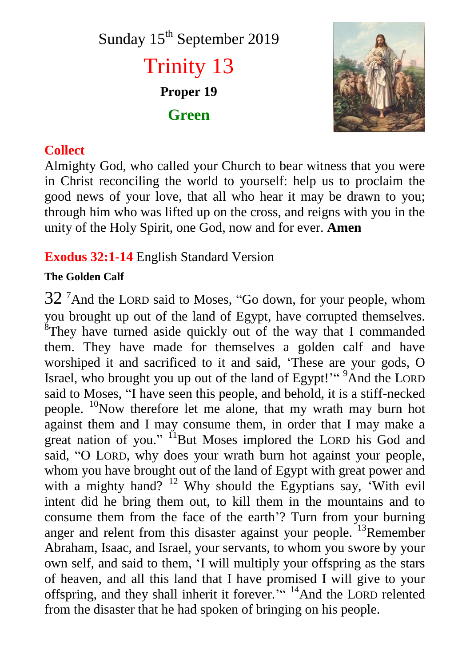Sunday 15<sup>th</sup> September 2019 Trinity 13 **Proper 19 Green**



## **Collect**

Almighty God, who called your Church to bear witness that you were in Christ reconciling the world to yourself: help us to proclaim the good news of your love, that all who hear it may be drawn to you; through him who was lifted up on the cross, and reigns with you in the unity of the Holy Spirit, one God, now and for ever. **Amen**

# **Exodus 32:1-14** English Standard Version

## **The Golden Calf**

 $32<sup>7</sup>$ And the LORD said to Moses, "Go down, for your people, whom you brought up out of the land of Egypt, have corrupted themselves. <sup>8</sup>They have turned aside quickly out of the way that I commanded them. They have made for themselves a golden calf and have worshiped it and sacrificed to it and said, 'These are your gods, O Israel, who brought you up out of the land of Egypt!" <sup>9</sup>And the LORD said to Moses, "I have seen this people, and behold, it is a stiff-necked people. <sup>10</sup>Now therefore let me alone, that my wrath may burn hot against them and I may consume them, in order that I may make a great nation of you." <sup>11</sup>But Moses implored the LORD his God and said, "O LORD, why does your wrath burn hot against your people, whom you have brought out of the land of Egypt with great power and with a mighty hand?  $12$  Why should the Egyptians say, 'With evil intent did he bring them out, to kill them in the mountains and to consume them from the face of the earth'? Turn from your burning anger and relent from this disaster against your people. <sup>13</sup>Remember Abraham, Isaac, and Israel, your servants, to whom you swore by your own self, and said to them, 'I will multiply your offspring as the stars of heaven, and all this land that I have promised I will give to your offspring, and they shall inherit it forever.'" <sup>14</sup>And the LORD relented from the disaster that he had spoken of bringing on his people.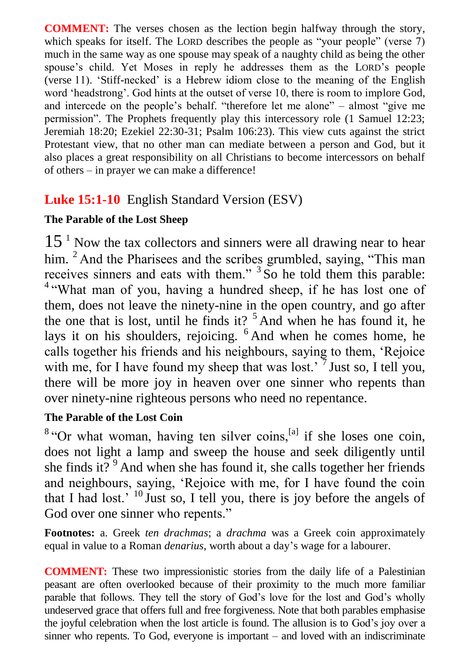**COMMENT:** The verses chosen as the lection begin halfway through the story, which speaks for itself. The LORD describes the people as "your people" (verse 7) much in the same way as one spouse may speak of a naughty child as being the other spouse's child. Yet Moses in reply he addresses them as the LORD's people (verse 11). 'Stiff-necked' is a Hebrew idiom close to the meaning of the English word 'headstrong'. God hints at the outset of verse 10, there is room to implore God, and intercede on the people's behalf. "therefore let me alone" – almost "give me permission". The Prophets frequently play this intercessory role (1 Samuel 12:23; Jeremiah 18:20; Ezekiel 22:30-31; Psalm 106:23). This view cuts against the strict Protestant view, that no other man can mediate between a person and God, but it also places a great responsibility on all Christians to become intercessors on behalf of others – in prayer we can make a difference!

# **Luke 15:1-10** English Standard Version (ESV)

## **The Parable of the Lost Sheep**

 $15<sup>1</sup>$  Now the tax collectors and sinners were all drawing near to hear him. <sup>2</sup> And the Pharisees and the scribes grumbled, saying, "This man receives sinners and eats with them."  $3$  So he told them this parable: <sup>4 "</sup>What man of you, having a hundred sheep, if he has lost one of them, does not leave the ninety-nine in the open country, and go after the one that is lost, until he finds it?  $5$  And when he has found it, he lays it on his shoulders, rejoicing. <sup>6</sup> And when he comes home, he calls together his friends and his neighbours, saying to them, 'Rejoice with me, for I have found my sheep that was lost.<sup> $7$ </sup> Just so, I tell you, there will be more joy in heaven over one sinner who repents than over ninety-nine righteous persons who need no repentance.

## **The Parable of the Lost Coin**

 $8$  "Or what woman, having ten silver coins,  $[a]$  if she loses one coin, does not light a lamp and sweep the house and seek diligently until she finds it?  $9^9$  And when she has found it, she calls together her friends and neighbours, saying, 'Rejoice with me, for I have found the coin that I had lost.<sup>' 10</sup> Just so, I tell you, there is joy before the angels of God over one sinner who repents."

**Footnotes:** a. Greek *ten drachmas*; a *drachma* was a Greek coin approximately equal in value to a Roman *denarius*, worth about a day's wage for a labourer.

**COMMENT:** These two impressionistic stories from the daily life of a Palestinian peasant are often overlooked because of their proximity to the much more familiar parable that follows. They tell the story of God's love for the lost and God's wholly undeserved grace that offers full and free forgiveness. Note that both parables emphasise the joyful celebration when the lost article is found. The allusion is to God's joy over a sinner who repents. To God, everyone is important – and loved with an indiscriminate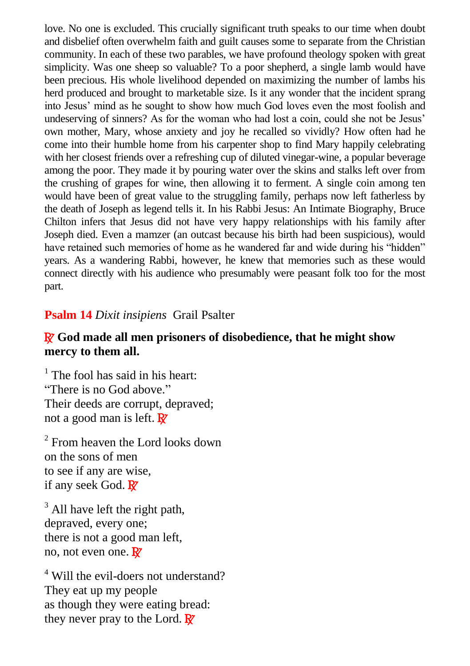love. No one is excluded. This crucially significant truth speaks to our time when doubt and disbelief often overwhelm faith and guilt causes some to separate from the Christian community. In each of these two parables, we have profound theology spoken with great simplicity. Was one sheep so valuable? To a poor shepherd, a single lamb would have been precious. His whole livelihood depended on maximizing the number of lambs his herd produced and brought to marketable size. Is it any wonder that the incident sprang into Jesus' mind as he sought to show how much God loves even the most foolish and undeserving of sinners? As for the woman who had lost a coin, could she not be Jesus' own mother, Mary, whose anxiety and joy he recalled so vividly? How often had he come into their humble home from his carpenter shop to find Mary happily celebrating with her closest friends over a refreshing cup of diluted vinegar-wine, a popular beverage among the poor. They made it by pouring water over the skins and stalks left over from the crushing of grapes for wine, then allowing it to ferment. A single coin among ten would have been of great value to the struggling family, perhaps now left fatherless by the death of Joseph as legend tells it. In his Rabbi Jesus: An Intimate Biography, Bruce Chilton infers that Jesus did not have very happy relationships with his family after Joseph died. Even a mamzer (an outcast because his birth had been suspicious), would have retained such memories of home as he wandered far and wide during his "hidden" years. As a wandering Rabbi, however, he knew that memories such as these would connect directly with his audience who presumably were peasant folk too for the most part.

#### **Psalm 14** *Dixit insipiens* Grail Psalter

#### R **God made all men prisoners of disobedience, that he might show mercy to them all.**

 $<sup>1</sup>$  The fool has said in his heart:</sup> "There is no God above." Their deeds are corrupt, depraved; not a good man is left.  $\mathbf{R}$ 

<sup>2</sup> From heaven the Lord looks down on the sons of men to see if any are wise, if any seek God.  $\overline{R}$ 

 $3$  All have left the right path. depraved, every one; there is not a good man left, no, not even one.  $\mathbb{R}^7$ 

<sup>4</sup> Will the evil-doers not understand? They eat up my people as though they were eating bread: they never pray to the Lord.  $\mathbb{R}^7$